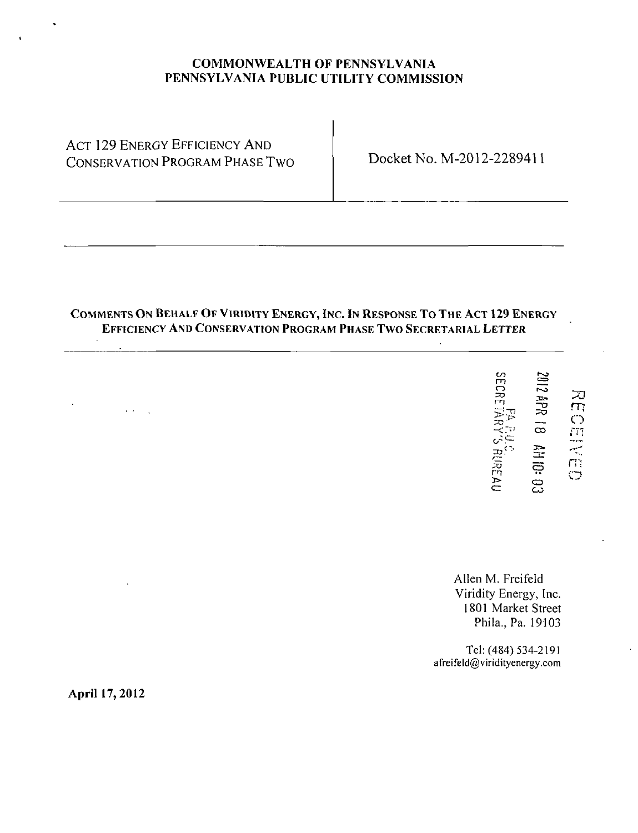## COMMONWEALTH OF PENNSYLVANIA PENNSYLVANIA PUBLIC UTILITY COMMISSION

**ACT 129 ENERGY EFFICIENCY AND** CONSERVATION PROGRAM PHASE TWO Docket No. M-2012-2289411

## COMMENTS ON BEHALF OF VIRIDITY ENERGY, INC. IN RESPONSE TO THE ACT 129 ENERGY EFFICIENCY AND CONSERVATION PROGRAM PHASE TWO SECRETARIAL LETTER

|  | <b>FA FA FUC.</b><br>SECRETARY'S RUREAU | 2012 APR 18 AH 10: 03 | NECEIVED |
|--|-----------------------------------------|-----------------------|----------|
|--|-----------------------------------------|-----------------------|----------|

Allen M. Freifeld Viridity Energy, Inc. 1801 Market Street Phila., Pa. 19103

Tel: (484) 534-2191 afreifeld@viridityenergy.com

April 17, 2012

 $\mathbf{r}$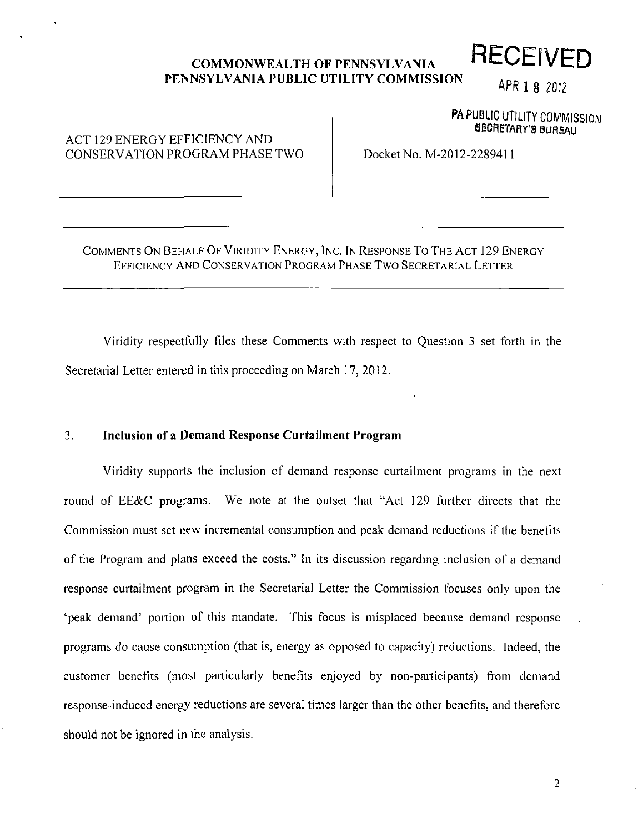### **COMMONWEALTH OF PENNSYLVANIA PENNSYLVANIA PUBLIC UTILITY COMMISSION RECEIVED**

# APR 1 8 2012

PA PUBLIC UTILITY COMMISSION SECRETARY'S BUREAU

# ACT 129 ENERGY EFFICIENCY AND CONSERVATION PROGRAM PHASE TWO

Docket No. M-2012-2289411

### COMMENTS ON BEHALF OF VIRIDITY ENERGY, INC. IN RESPONSE To THE ACT 129 ENERGY EFFICIENCY AND CONSERVATION PROGRAM PHASE TWO SECRETARIAL LETTER

Viridity respectfully files these Comments with respect to Question 3 set forth in the Secretarial Letter entered in this proceeding on March 17, 2012.

#### **3. Inclusion of a Demand Response Curtailment Program**

Viridity supports the inclusion of demand response curtailment programs in the next round of EE&C programs. We note at the outset that "Act 129 further directs that the Commission must set new incremental consumption and peak demand reductions if the benefits of the Program and plans exceed the costs." In its discussion regarding inclusion of a demand response curtailment program in the Secretarial Letter the Commission focuses only upon the 'peak demand' portion of this mandate. This focus is misplaced because demand response programs do cause consumption (that is, energy as opposed to capacity) reductions. Indeed, the customer benefits (most particularly benefits enjoyed by non-participants) from demand response-induced energy reductions are several times larger than the other benefits, and therefore should not be ignored in the analysis.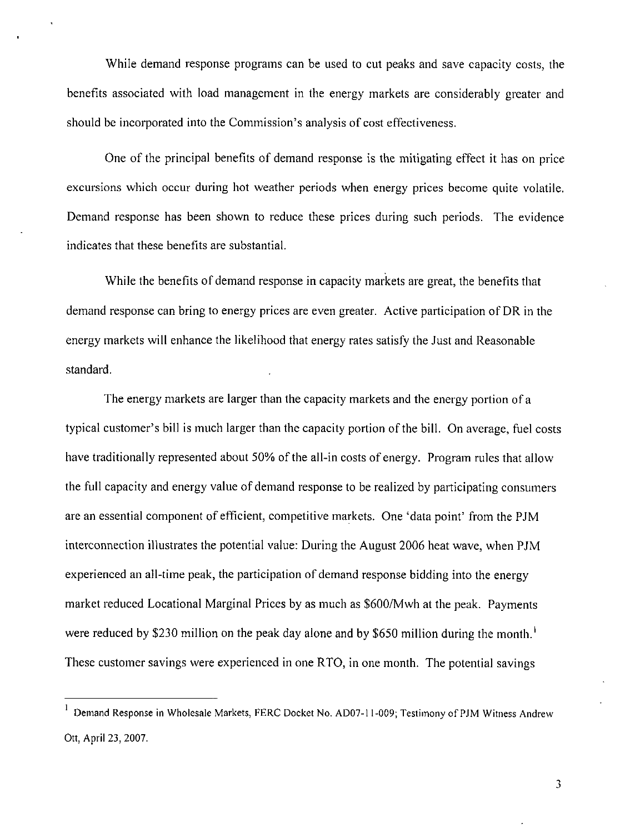While demand response programs can be used to cut peaks and save capacity costs, the benefits associated with load management in the energy markets are considerably greater and should be incorporated into the Commission's analysis of cost effectiveness.

One of the principal benefits of demand response is the mitigating effect it has on price excursions which occur during hot weather periods when energy prices become quite volatile. Demand response has been shown to reduce these prices during such periods. The evidence indicates that these benefits are substantial.

While the benefits of demand response in capacity markets are great, the benefits that demand response can bring to energy prices are even greater. Active participation of DR in the energy markets will enhance the likelihood that energy rates satisfy the Just and Reasonable standard.

The energy markets are larger than the capacity markets and the energy portion of a typical customer's bill is much larger than the capacity portion of the bill. On average, fuel costs have traditionally represented about 50% of the all-in costs of energy. Program rules that allow the full capacity and energy value of demand response to be realized by participating consumers are an essential component of efficient, competitive markets. One 'data point' from the PJM interconnection illustrates the potential value: During the August 2006 heat wave, when PJM experienced an all-time peak, the participation of demand response bidding into the energy market reduced Locational Marginal Prices by as much as \$600/Mwh at the peak. Payments were reduced by \$230 million on the peak day alone and by \$650 million during the month.<sup>1</sup> These customer savings were experienced in one RTO, in one month. The potential savings

 $\mathfrak{Z}$ 

<sup>1</sup> Demand Response in Wholesale Markets, FERC Docket No. AD07-11-009; Testimony of PJM Witness Andrew Ott, April 23, 2007.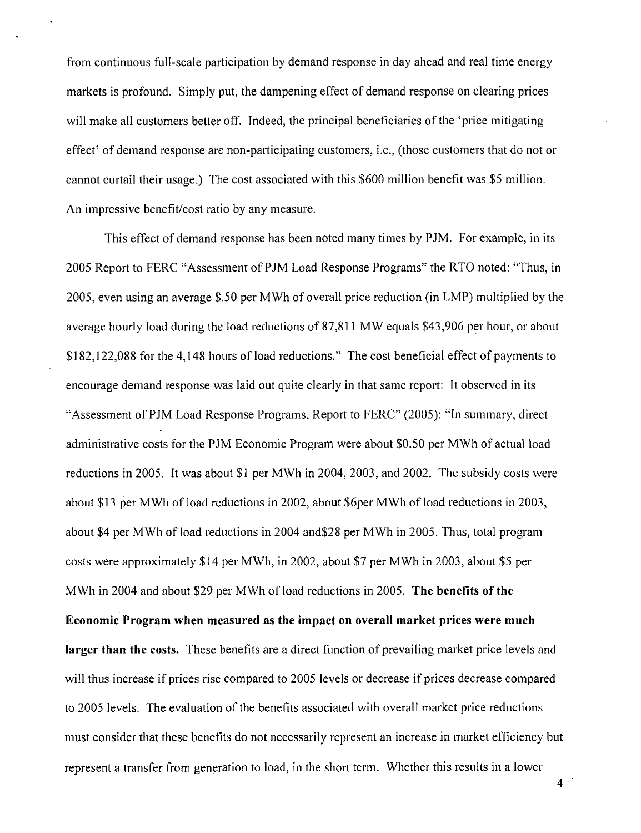from continuous full-scale participation by demand response in day ahead and real time energy markets is profound. Simply put, the dampening effect of demand response on clearing prices will make all customers better off. Indeed, the principal beneficiaries of the 'price mitigating effect' of demand response are non-participating customers, i.e., (those customers that do not or cannot curtail their usage.) The cost associated with this \$600 million benefit was \$5 million. An impressive benefit/cost ratio by any measure.

This effect of demand response has been noted many times by PJM. For example, in its 2005 Report to FERC "Assessment of PJM Load Response Programs" the RTO noted: "Thus, in 2005, even using an average \$.50 per MWh of overall price reduction (in LMP) multiplied by the average hourly load during the load reductions of 87,811 MW equals \$43,906 per hour, or about \$182,122,088 for the 4,148 hours of load reductions." The cost beneficial effect of payments to encourage demand response was laid out quite clearly in that same report: It observed in its "Assessment of PJM Load Response Programs, Report to FERC" (2005): "In summary, direct administrative costs for the PJM Economic Program were about \$0.50 per MWh of actual load reductions in 2005. It was about \$1 per MWh in 2004, 2003, and 2002. The subsidy costs were about \$13 per MWh of load reductions in 2002, about \$6per MWh of load reductions in 2003, about \$4 per MWh of load reductions in 2004 and\$28 per MWh in 2005. Thus, total program costs were approximately \$14 per MWh, in 2002, about \$7 per MWh in 2003, about \$5 per MWh in 2004 and about \$29 per MWh of load reductions in 2005. The benefits of the Economic Program when measured as the impact on overall market prices were much larger than the costs. These benefits are a direct function of prevailing market price levels and will thus increase if prices rise compared to 2005 levels or decrease if prices decrease compared to 2005 levels. The evaluation of the benefits associated with overall market price reductions must consider that these benefits do not necessarily represent an increase in market efficiency but represent a transfer from generation to load, in the short term. Whether this results in a lower

 $4<sup>1</sup>$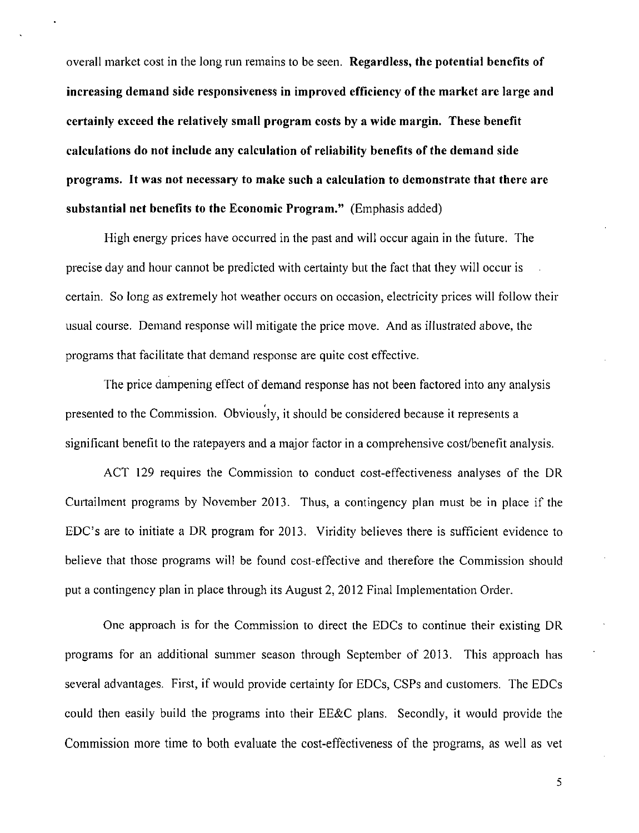overall market cost in the long run remains to be seen. Regardless, the potential benefits of increasing demand side responsiveness in improved efficiency of the market are large and certainly exceed the relatively small program costs by a wide margin. These benefit calculations do not include any calculation of reliability benefits of the demand side programs. It was not necessary to make such a calculation to demonstrate that there are substantial net benefits to the Economic Program." (Emphasis added)

High energy prices have occurred in the past and will occur again in the future. The precise day and hour cannot be predicted with certainty but the fact that they will occur is certain. So long as extremely hot weather occurs on occasion, electricity prices will follow their usual course. Demand response will mitigate the price move. And as illustrated above, the programs that facilitate that demand response are quite cost effective.

The price dampening effect of demand response has not been factored into any analysis presented to the Commission. Obviously, it should be considered because it represents a significant benefit to the ratepayers and a major factor in a comprehensive cost/benefit analysis.

ACT 129 requires the Commission to conduct cost-effectiveness analyses of the DR Curtailment programs by November 2013. Thus, a contingency plan must be in place if the EDC's are to initiate a DR program for 2013. Viridity believes there is sufficient evidence to believe that those programs will be found cost-effective and therefore the Commission should put a contingency plan in place through its August 2, 2012 Final Implementation Order.

One approach is for the Commission to direct the EDCs to continue their existing DR programs for an additional summer season through September of 2013. This approach has several advantages. First, if would provide certainty for EDCs, CSPs and customers. The EDCs could then easily build the programs into their EE&C plans. Secondly, it would provide the Commission more time to both evaluate the cost-effectiveness of the programs, as well as vet

5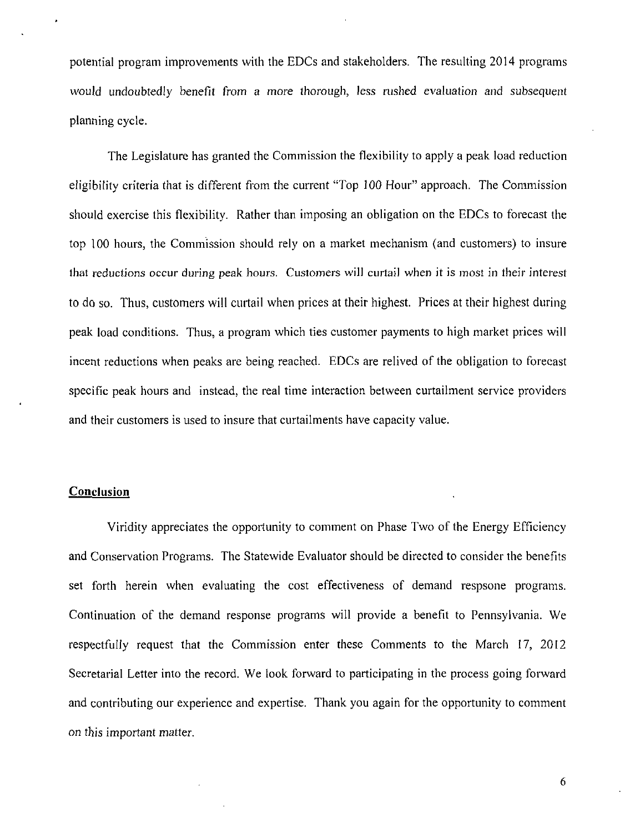potential program improvements with the EDCs and stakeholders. The resulting 2014 programs would undoubtedly benefit from a more thorough, less rushed evaluation and subsequent planning cycle.

The Legislature has granted the Commission the flexibility to apply a peak load reduction eligibifity criteria that is different from the current "Top 100 Hour" approach. The Commission should exercise this flexibility. Rather than imposing an obligation on the EDCs to forecast the top 100 hours, the Commission should rely on a market mechanism (and customers) to insure that reductions occur during peak hours. Customers will curtail when it is most in their interest to do so. Thus, customers will curtail when prices at their highest. Prices at their highest during peak load conditions. Thus, a program which ties customer payments to high market prices will incent reductions when peaks are being reached. EDCs are relived of the obligation to forecast specific peak hours and instead, the real time interaction between curtailment service providers and their customers is used to insure that curtailments have capacity value.

#### **Conclusion**

Viridity appreciates the opportunity to comment on Phase Two of the Energy Efficiency and Conservation Programs. The Statewide Evaluator should be directed to consider the benefits set forth herein when evaluating the cost effectiveness of demand respsone programs. Continuation of the demand response programs will provide a benefit to Pennsylvania. We respectfully request that the Commission enter these Comments to the March 17, 2012 Secretarial Letter into the record. We look forward to participating in the process going forward and contributing our experience and expertise. Thank you again for the opportunity to comment on this important matter.

6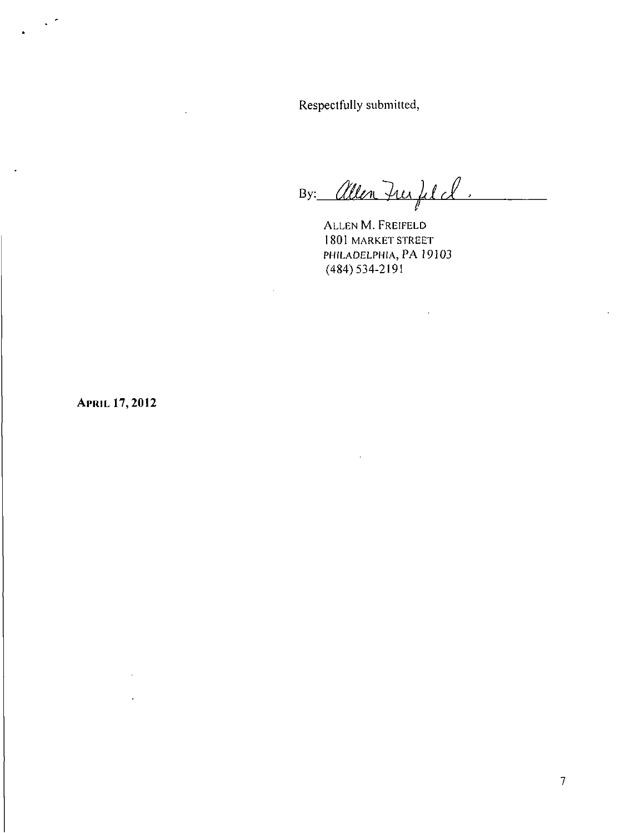Respectfully submitted,

By: *(Men furfil cl*) **V** 

ALLEN M. FREIFELD 1801 MARKET STREET PHILADELPHIA, PA 19103 (484)534-2191

**APRIL 17,2012** 

 $\ddot{\phantom{a}}$